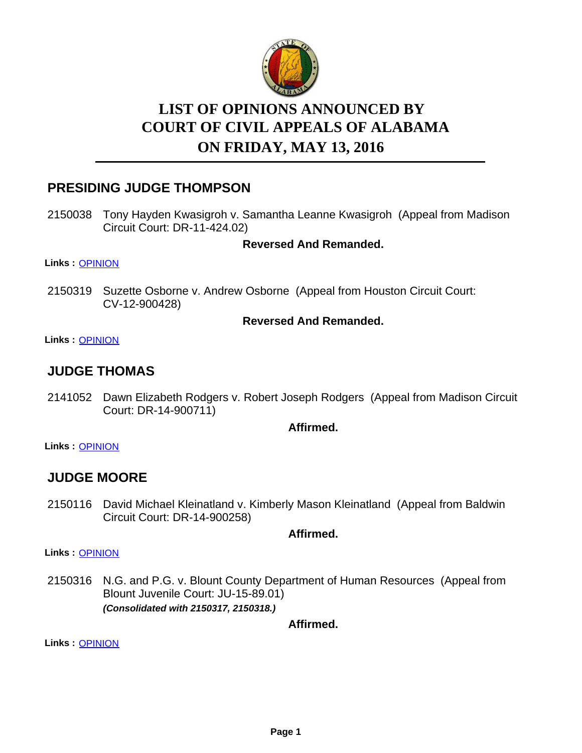

# **LIST OF OPINIONS ANNOUNCED BY ON FRIDAY, MAY 13, 2016 COURT OF CIVIL APPEALS OF ALABAMA**

## **PRESIDING JUDGE THOMPSON**

2150038 Tony Hayden Kwasigroh v. Samantha Leanne Kwasigroh (Appeal from Madison Circuit Court: DR-11-424.02)

**Reversed And Remanded.**

**Links :** [OPINION](https://acis.alabama.gov/displaydocs.cfm?no=735790&event=4MU0LRYAI)

2150319 Suzette Osborne v. Andrew Osborne (Appeal from Houston Circuit Court: CV-12-900428)

#### **Reversed And Remanded.**

**Links :** [OPINION](https://acis.alabama.gov/displaydocs.cfm?no=735795&event=4MU0LS0DH)

### **JUDGE THOMAS**

2141052 Dawn Elizabeth Rodgers v. Robert Joseph Rodgers (Appeal from Madison Circuit Court: DR-14-900711)

**Affirmed.**

**Links :** [OPINION](https://acis.alabama.gov/displaydocs.cfm?no=735789&event=4MU0LRY2Q)

### **JUDGE MOORE**

2150116 David Michael Kleinatland v. Kimberly Mason Kleinatland (Appeal from Baldwin Circuit Court: DR-14-900258)

**Affirmed.**

**Links :** [OPINION](https://acis.alabama.gov/displaydocs.cfm?no=735792&event=4MU0LRYNJ)

2150316 N.G. and P.G. v. Blount County Department of Human Resources (Appeal from Blount Juvenile Court: JU-15-89.01) *(Consolidated with 2150317, 2150318.)*

**Affirmed.**

**Links :** [OPINION](https://acis.alabama.gov/displaydocs.cfm?no=735794&event=4MU0LRZ0Z)